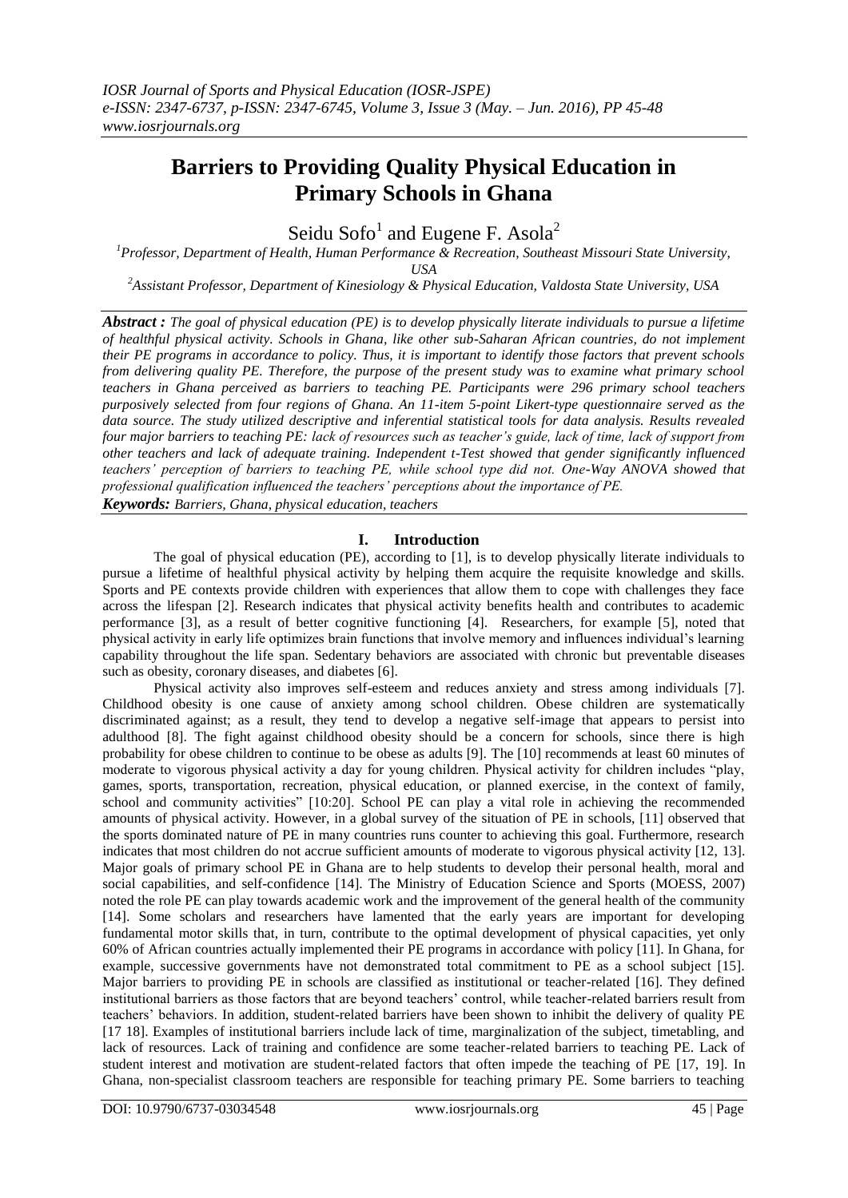# **Barriers to Providing Quality Physical Education in Primary Schools in Ghana**

Seidu Sofo<sup>1</sup> and Eugene F. Asola<sup>2</sup>

*<sup>1</sup>Professor, Department of Health, Human Performance & Recreation, Southeast Missouri State University, USA*

*<sup>2</sup>Assistant Professor, Department of Kinesiology & Physical Education, Valdosta State University, USA*

*Abstract : The goal of physical education (PE) is to develop physically literate individuals to pursue a lifetime of healthful physical activity. Schools in Ghana, like other sub-Saharan African countries, do not implement their PE programs in accordance to policy. Thus, it is important to identify those factors that prevent schools from delivering quality PE. Therefore, the purpose of the present study was to examine what primary school teachers in Ghana perceived as barriers to teaching PE. Participants were 296 primary school teachers purposively selected from four regions of Ghana. An 11-item 5-point Likert-type questionnaire served as the data source. The study utilized descriptive and inferential statistical tools for data analysis. Results revealed four major barriers to teaching PE: lack of resources such as teacher's guide, lack of time, lack of support from other teachers and lack of adequate training. Independent t-Test showed that gender significantly influenced teachers' perception of barriers to teaching PE, while school type did not. One-Way ANOVA showed that professional qualification influenced the teachers' perceptions about the importance of PE. Keywords: Barriers, Ghana, physical education, teachers*

## **I. Introduction**

The goal of physical education (PE), according to [1], is to develop physically literate individuals to pursue a lifetime of healthful physical activity by helping them acquire the requisite knowledge and skills. Sports and PE contexts provide children with experiences that allow them to cope with challenges they face across the lifespan [2]. Research indicates that physical activity benefits health and contributes to academic performance [3], as a result of better cognitive functioning [4]. Researchers, for example [5], noted that physical activity in early life optimizes brain functions that involve memory and influences individual's learning capability throughout the life span. Sedentary behaviors are associated with chronic but preventable diseases such as obesity, coronary diseases, and diabetes [6].

Physical activity also improves self-esteem and reduces anxiety and stress among individuals [7]. Childhood obesity is one cause of anxiety among school children. Obese children are systematically discriminated against; as a result, they tend to develop a negative self-image that appears to persist into adulthood [8]. The fight against childhood obesity should be a concern for schools, since there is high probability for obese children to continue to be obese as adults [9]. The [10] recommends at least 60 minutes of moderate to vigorous physical activity a day for young children. Physical activity for children includes "play, games, sports, transportation, recreation, physical education, or planned exercise, in the context of family, school and community activities" [10:20]. School PE can play a vital role in achieving the recommended amounts of physical activity. However, in a global survey of the situation of PE in schools, [11] observed that the sports dominated nature of PE in many countries runs counter to achieving this goal. Furthermore, research indicates that most children do not accrue sufficient amounts of moderate to vigorous physical activity [12, 13]. Major goals of primary school PE in Ghana are to help students to develop their personal health, moral and social capabilities, and self-confidence [14]. The Ministry of Education Science and Sports (MOESS, 2007) noted the role PE can play towards academic work and the improvement of the general health of the community [14]. Some scholars and researchers have lamented that the early years are important for developing fundamental motor skills that, in turn, contribute to the optimal development of physical capacities, yet only 60% of African countries actually implemented their PE programs in accordance with policy [11]. In Ghana, for example, successive governments have not demonstrated total commitment to PE as a school subject [15]. Major barriers to providing PE in schools are classified as institutional or teacher-related [16]. They defined institutional barriers as those factors that are beyond teachers' control, while teacher-related barriers result from teachers' behaviors. In addition, student-related barriers have been shown to inhibit the delivery of quality PE [17 18]. Examples of institutional barriers include lack of time, marginalization of the subject, timetabling, and lack of resources. Lack of training and confidence are some teacher-related barriers to teaching PE. Lack of student interest and motivation are student-related factors that often impede the teaching of PE [17, 19]. In Ghana, non-specialist classroom teachers are responsible for teaching primary PE. Some barriers to teaching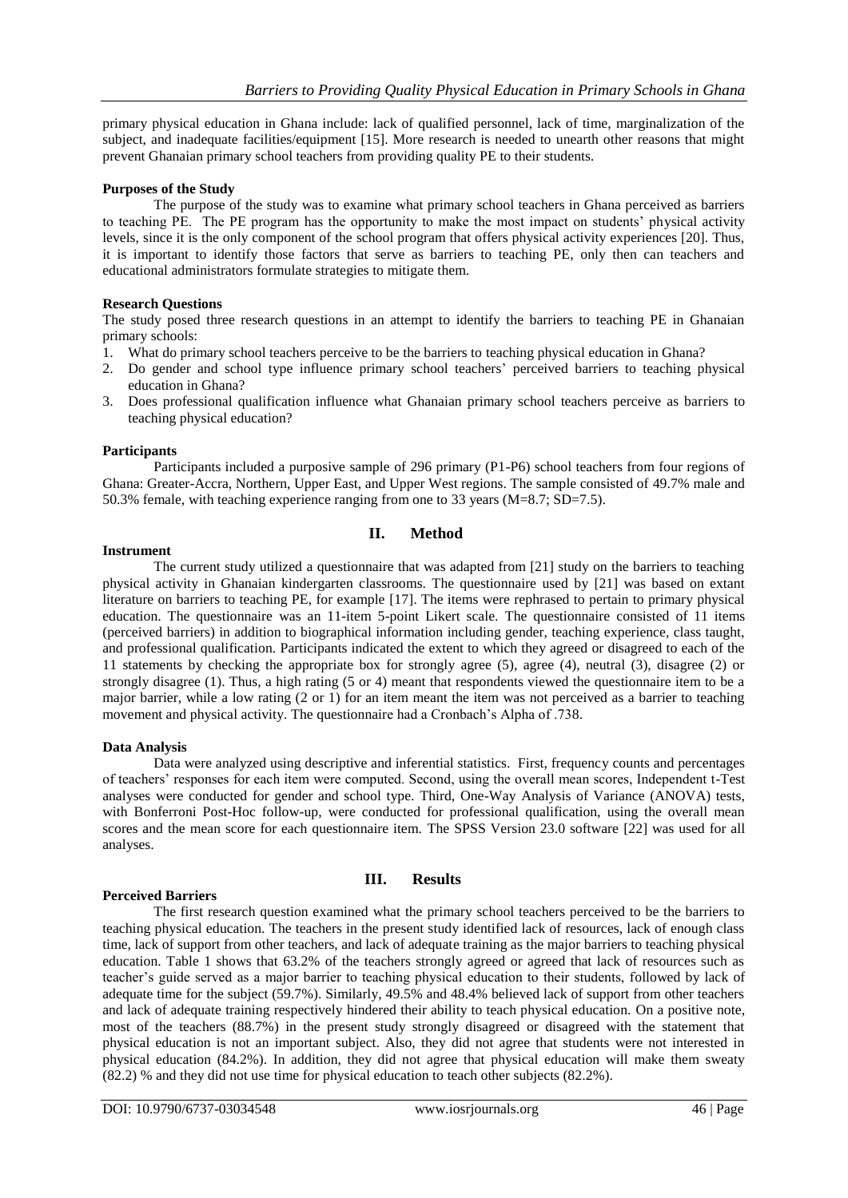primary physical education in Ghana include: lack of qualified personnel, lack of time, marginalization of the subject, and inadequate facilities/equipment [15]. More research is needed to unearth other reasons that might prevent Ghanaian primary school teachers from providing quality PE to their students.

## **Purposes of the Study**

The purpose of the study was to examine what primary school teachers in Ghana perceived as barriers to teaching PE. The PE program has the opportunity to make the most impact on students' physical activity levels, since it is the only component of the school program that offers physical activity experiences [20]. Thus, it is important to identify those factors that serve as barriers to teaching PE, only then can teachers and educational administrators formulate strategies to mitigate them.

### **Research Questions**

The study posed three research questions in an attempt to identify the barriers to teaching PE in Ghanaian primary schools:

- 1. What do primary school teachers perceive to be the barriers to teaching physical education in Ghana?
- 2. Do gender and school type influence primary school teachers' perceived barriers to teaching physical education in Ghana?
- 3. Does professional qualification influence what Ghanaian primary school teachers perceive as barriers to teaching physical education?

### **Participants**

Participants included a purposive sample of 296 primary (P1-P6) school teachers from four regions of Ghana: Greater-Accra, Northern, Upper East, and Upper West regions. The sample consisted of 49.7% male and 50.3% female, with teaching experience ranging from one to 33 years (M=8.7; SD=7.5).

## **II. Method**

### **Instrument**

The current study utilized a questionnaire that was adapted from [21] study on the barriers to teaching physical activity in Ghanaian kindergarten classrooms. The questionnaire used by [21] was based on extant literature on barriers to teaching PE, for example [17]. The items were rephrased to pertain to primary physical education. The questionnaire was an 11-item 5-point Likert scale. The questionnaire consisted of 11 items (perceived barriers) in addition to biographical information including gender, teaching experience, class taught, and professional qualification. Participants indicated the extent to which they agreed or disagreed to each of the 11 statements by checking the appropriate box for strongly agree (5), agree (4), neutral (3), disagree (2) or strongly disagree (1). Thus, a high rating (5 or 4) meant that respondents viewed the questionnaire item to be a major barrier, while a low rating (2 or 1) for an item meant the item was not perceived as a barrier to teaching movement and physical activity. The questionnaire had a Cronbach's Alpha of .738.

#### **Data Analysis**

Data were analyzed using descriptive and inferential statistics. First, frequency counts and percentages of teachers' responses for each item were computed. Second, using the overall mean scores, Independent t-Test analyses were conducted for gender and school type. Third, One-Way Analysis of Variance (ANOVA) tests, with Bonferroni Post-Hoc follow-up, were conducted for professional qualification, using the overall mean scores and the mean score for each questionnaire item. The SPSS Version 23.0 software [22] was used for all analyses.

#### **Perceived Barriers**

## **III. Results**

The first research question examined what the primary school teachers perceived to be the barriers to teaching physical education. The teachers in the present study identified lack of resources, lack of enough class time, lack of support from other teachers, and lack of adequate training as the major barriers to teaching physical education. Table 1 shows that 63.2% of the teachers strongly agreed or agreed that lack of resources such as teacher's guide served as a major barrier to teaching physical education to their students, followed by lack of adequate time for the subject (59.7%). Similarly, 49.5% and 48.4% believed lack of support from other teachers and lack of adequate training respectively hindered their ability to teach physical education. On a positive note, most of the teachers (88.7%) in the present study strongly disagreed or disagreed with the statement that physical education is not an important subject. Also, they did not agree that students were not interested in physical education (84.2%). In addition, they did not agree that physical education will make them sweaty (82.2) % and they did not use time for physical education to teach other subjects (82.2%).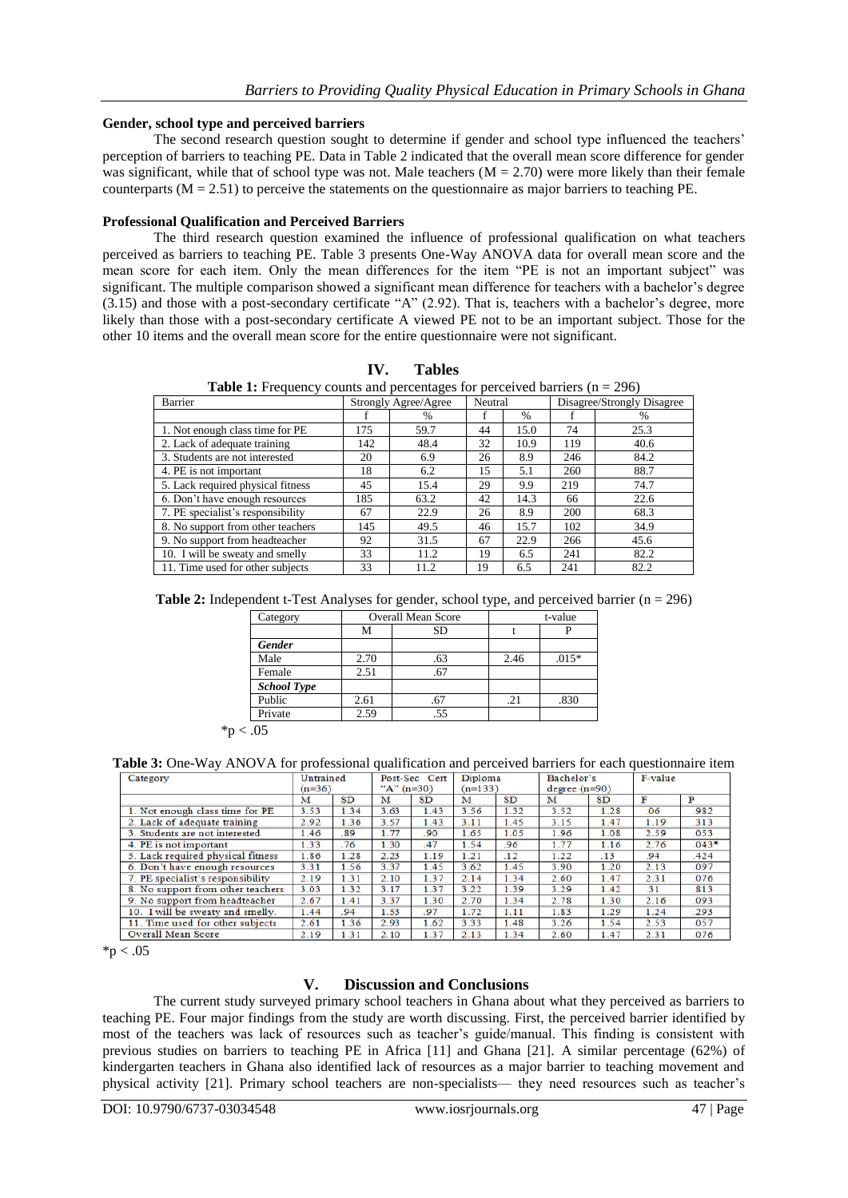#### **Gender, school type and perceived barriers**

The second research question sought to determine if gender and school type influenced the teachers' perception of barriers to teaching PE. Data in Table 2 indicated that the overall mean score difference for gender was significant, while that of school type was not. Male teachers  $(M = 2.70)$  were more likely than their female counterparts  $(M = 2.51)$  to perceive the statements on the questionnaire as major barriers to teaching PE.

#### **Professional Qualification and Perceived Barriers**

The third research question examined the influence of professional qualification on what teachers perceived as barriers to teaching PE. Table 3 presents One-Way ANOVA data for overall mean score and the mean score for each item. Only the mean differences for the item "PE is not an important subject" was significant. The multiple comparison showed a significant mean difference for teachers with a bachelor's degree  $(3.15)$  and those with a post-secondary certificate "A"  $(2.92)$ . That is, teachers with a bachelor's degree, more likely than those with a post-secondary certificate A viewed PE not to be an important subject. Those for the other 10 items and the overall mean score for the entire questionnaire were not significant.

**Table 1:** Frequency counts and percentages for perceived barriers (n = 296)

| Barrier                           |     | Strongly Agree/Agree | Neutral |      | Disagree/Strongly Disagree |      |  |
|-----------------------------------|-----|----------------------|---------|------|----------------------------|------|--|
|                                   |     | %                    |         | %    |                            | %    |  |
| 1. Not enough class time for PE   | 175 | 59.7                 | 44      | 15.0 | 74                         | 25.3 |  |
| 2. Lack of adequate training      | 142 | 48.4                 | 32      | 10.9 | 119                        | 40.6 |  |
| 3. Students are not interested    | 20  | 6.9                  | 26      | 8.9  | 246                        | 84.2 |  |
| 4. PE is not important            | 18  | 6.2                  | 15      | 5.1  | 260                        | 88.7 |  |
| 5. Lack required physical fitness | 45  | 15.4                 | 29      | 9.9  | 219                        | 74.7 |  |
| 6. Don't have enough resources    | 185 | 63.2                 | 42      | 14.3 | 66                         | 22.6 |  |
| 7. PE specialist's responsibility | 67  | 22.9                 | 26      | 8.9  | 200                        | 68.3 |  |
| 8. No support from other teachers | 145 | 49.5                 | 46      | 15.7 | 102                        | 34.9 |  |
| 9. No support from headteacher    | 92  | 31.5                 | 67      | 22.9 | 266                        | 45.6 |  |
| 10. I will be sweaty and smelly   | 33  | 11.2                 | 19      | 6.5  | 241                        | 82.2 |  |
| 11. Time used for other subjects  | 33  | 11.2                 | 19      | 6.5  | 241                        | 82.2 |  |

|  | <b>Table 2:</b> Independent t-Test Analyses for gender, school type, and perceived barrier $(n = 296)$ |  |  |  |  |  |  |
|--|--------------------------------------------------------------------------------------------------------|--|--|--|--|--|--|
|--|--------------------------------------------------------------------------------------------------------|--|--|--|--|--|--|

| Category           |      | <b>Overall Mean Score</b> |      | t-value |  |  |
|--------------------|------|---------------------------|------|---------|--|--|
|                    | М    | SD                        |      |         |  |  |
| <b>Gender</b>      |      |                           |      |         |  |  |
| Male               | 2.70 | .63                       | 2.46 | $.015*$ |  |  |
| Female             | 2.51 | .67                       |      |         |  |  |
| <b>School Type</b> |      |                           |      |         |  |  |
| Public             | 2.61 | .67                       | .21  | .830    |  |  |
| Private            | 2.59 | .55                       |      |         |  |  |

 $*p < .05$ 

**Table 3:** One-Way ANOVA for professional qualification and perceived barriers for each questionnaire item

| Category                          | Untrained |      | Post-Sec Cert |      | Diploma   |      | Bachelor's     |      | F-value |         |
|-----------------------------------|-----------|------|---------------|------|-----------|------|----------------|------|---------|---------|
|                                   | $(n=36)$  |      | "A" $(n=30)$  |      | $(n=133)$ |      | $degree(n=90)$ |      |         |         |
|                                   | м         | SD   | м             | SD   | м         | SD   | м              | SD   |         | Р       |
| 1. Not enough class time for PE   | 3.53      | 1.34 | 3.63          | 1.43 | 3.56      | 1.32 | 3.52           | 1.28 | .06     | .982    |
| 2. Lack of adequate training      | 2.92      | 1.36 | 3.57          | 1.43 | 3.11      | 1.45 | 3.15           | 1.47 | 1.19    | .313    |
| 3. Students are not interested    | 1.46      | .89  | 1.77          | .90  | 1.65      | 1.05 | 1.96           | 1.08 | 2.59    | .053    |
| 4. PE is not important            | 1.33      | .76  | 1.30          | .47  | 1.54      | .96  | 1.77           | 1.16 | 2.76    | $.043*$ |
| 5. Lack required physical fitness | 1.86      | 1.28 | 2.23          | 1.19 | 1.21      | .12  | 1.22           | .13  | .94     | .424    |
| 6. Don't have enough resources    | 3.31      | 1.56 | 3.37          | 1.45 | 3.62      | 1.45 | 3.90           | 1.20 | 2.13    | .097    |
| 7. PE specialist's responsibility | 2.19      | 1.31 | 2.10          | 1.37 | 2.14      | 1.34 | 2.60           | 1.47 | 2.31    | .076    |
| 8. No support from other teachers | 3.03      | 1.32 | 3.17          | 1.37 | 3.22      | 1.39 | 3.29           | 1.42 | .31     | .813    |
| 9. No support from headteacher    | 2.67      | 1.41 | 3.37          | 1.30 | 2.70      | 1.34 | 2.78           | 1.30 | 2.16    | .093    |
| 10. I will be sweaty and smelly.  | 1.44      | .94  | 1.53          | .97  | 1.72      | 1.11 | 1.83           | 1.29 | 1.24    | .293    |
| 11. Time used for other subjects  | 2.61      | 1.36 | 2.93          | 1.62 | 3.33      | 1.48 | 3.26           | 1.54 | 2.53    | .057    |
| <b>Overall Mean Score</b>         | 2.19      | 1,31 | 2.10          | 1.37 | 2.13      | 1.34 | 2.60           | 1.47 | 2.31    | .076    |

 $*p < .05$ 

#### **V. Discussion and Conclusions**

The current study surveyed primary school teachers in Ghana about what they perceived as barriers to teaching PE. Four major findings from the study are worth discussing. First, the perceived barrier identified by most of the teachers was lack of resources such as teacher's guide/manual. This finding is consistent with previous studies on barriers to teaching PE in Africa [11] and Ghana [21]. A similar percentage (62%) of kindergarten teachers in Ghana also identified lack of resources as a major barrier to teaching movement and physical activity [21]. Primary school teachers are non-specialists— they need resources such as teacher's